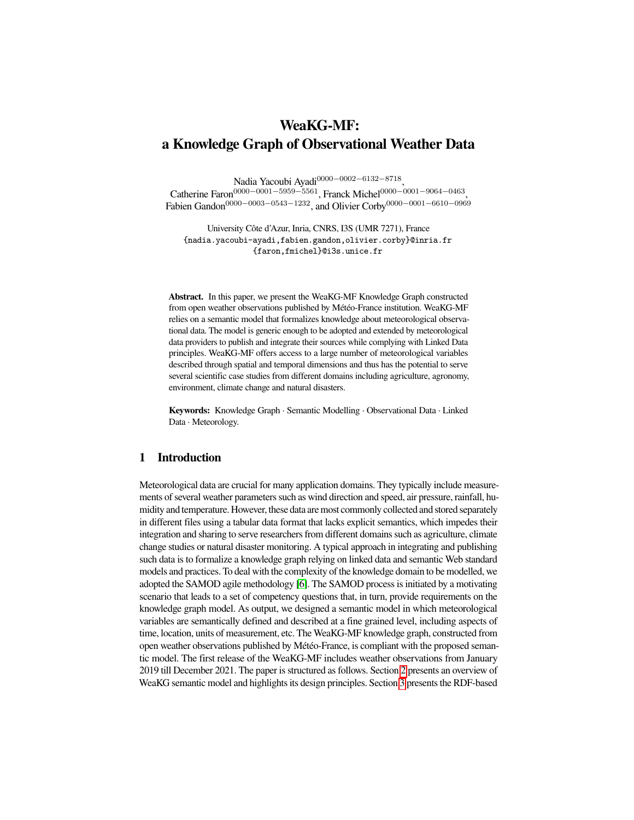## **WeaKG-MF: a Knowledge Graph of Observational Weather Data**

Nadia Yacoubi Ayadi<sup>0000–0002–6132–8718</sup>, Catherine Faron<sup>0000–0001–5959–5561</sup>, Franck Michel<sup>0000–0001–9064–0463</sup>, Fabien Gandon<sup>0000</sup>−0003−0543−1232, and Olivier Corby<sup>0000</sup>−0001−6610−0969

University Côte d'Azur, Inria, CNRS, I3S (UMR 7271), France {nadia.yacoubi-ayadi,fabien.gandon,olivier.corby}@inria.fr {faron,fmichel}@i3s.unice.fr

**Abstract.** In this paper, we present the WeaKG-MF Knowledge Graph constructed from open weather observations published by Météo-France institution. WeaKG-MF relies on a semantic model that formalizes knowledge about meteorological observational data. The model is generic enough to be adopted and extended by meteorological data providers to publish and integrate their sources while complying with Linked Data principles. WeaKG-MF offers access to a large number of meteorological variables described through spatial and temporal dimensions and thus has the potential to serve several scientific case studies from different domains including agriculture, agronomy, environment, climate change and natural disasters.

**Keywords:** Knowledge Graph · Semantic Modelling · Observational Data · Linked Data · Meteorology.

## **1 Introduction**

Meteorological data are crucial for many application domains. They typically include measurements of several weather parameters such as wind direction and speed, air pressure, rainfall, humidity and temperature. However, these data are most commonly collected and stored separately in different files using a tabular data format that lacks explicit semantics, which impedes their integration and sharing to serve researchers from different domains such as agriculture, climate change studies or natural disaster monitoring. A typical approach in integrating and publishing such data is to formalize a knowledge graph relying on linked data and semantic Web standard models and practices. To deal with the complexity of the knowledge domain to be modelled, we adopted the SAMOD agile methodology [\[6\]](#page-4-0). The SAMOD process is initiated by a motivating scenario that leads to a set of competency questions that, in turn, provide requirements on the knowledge graph model. As output, we designed a semantic model in which meteorological variables are semantically defined and described at a fine grained level, including aspects of time, location, units of measurement, etc. The WeaKG-MF knowledge graph, constructed from open weather observations published by Météo-France, is compliant with the proposed semantic model. The first release of the WeaKG-MF includes weather observations from January 2019 till December 2021. The paper is structured as follows. Section [2](#page-1-0) presents an overview of WeaKG semantic model and highlights its design principles. Section [3](#page-3-0) presents the RDF-based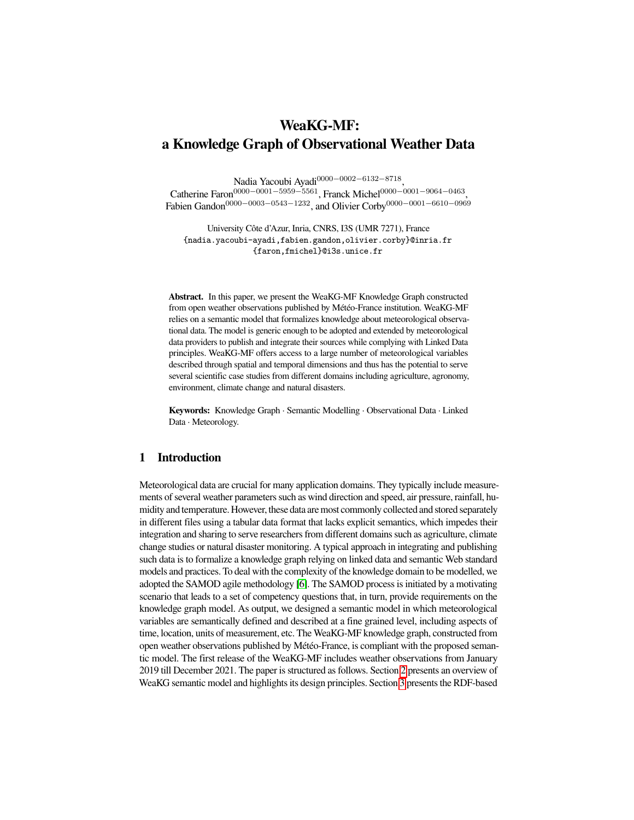2 N. Yacoubi Ayadi et al.

knowledge graph WeaKG-MF constructed from weather data archives of Météo-France and illustrates how it serves use cases identified in the context of the D2KAB French research projec[t](#page-1-1) .

## <span id="page-1-0"></span>**2 Semantic Model for Weather Data**

In order to propose a self-contained model for representing and publishing meteorological data, we extend the SOSA/SSN [\[4,](#page-4-1)[3\]](#page-4-2) ontologies with three new classes. First, weo: Meterol ogi cal Observation is the core class of our model; it supports the description of a single, atomic observation that is related to a particular feature of interest, instance of the weo: Meteorological Feature class, and an observable property, instance of class weo: WeatherProperty. These three classes specialize classes from the SOSA/SSN ontologies [\[4](#page-4-1)[,3\]](#page-4-2) as reflected by their formal definitions. These definitions express that only one weather property and one meteorological feature is used for a given meteorological observation:

| weo: Meteorological Feature    | sosa: FeatureOfInterest<br>$ssn: has Property, weo: Weather Property$<br>$1 \, ssn: has Property. weo: Weather Property$ |
|--------------------------------|--------------------------------------------------------------------------------------------------------------------------|
| weo:WeatherProperty            | sosa:ObservableProperty                                                                                                  |
|                                | $ssn: is Property Of. weo: Meteorological Feature$                                                                       |
|                                | $1$ ssn:isPropertyOf.weo:MeteorologicalFeature                                                                           |
| weo: MeteorologicalObservation | sosa: Observation                                                                                                        |
|                                | sosa:observedProperty.weo:WeatherProperty                                                                                |
|                                | $=1$ sosa: observed Property                                                                                             |
|                                | $sosa: hasFeatureOfInterest.$ <i>weo</i> : $Meteorological Feature$                                                      |
|                                | $=1$ sosa: has Feature Of Interest                                                                                       |

We reused the Value Set[s](#page-1-2) (VP) ontology design pattern and, because we can enumerate the values, this led us to define a SKOS vocabulary whose concepts are instances of weo: WeatherProperty or weo: Meteorological Feature and represent the possible values of observable properties and features of interest. Inline with Linked Data best practices, we aligned the weather properties of our SKOS vocabulary with terms from the NERC Climate and Forecast Standard Names vocabulary [.](#page-1-3) To avoid redundancies of measurements units among observations, we define for each SKOS weather property an applicable unit re-using QUDT Unit vocabulary [.](#page-1-4) Thus, observation results are modelled as literals and an observation is linked to its result by RDF property sosa: hasSimpleResult. Finally, since observable properties of our vocabulary are also defined as instances of the qudt: QuantityKind class, we aligned them with terms from the QUDT Quantity Kind vocabulary. Figure [1](#page-2-0) presents an RDF graph of a meteorological observation relative to the wind feature of interest and reporting the average wind speed observable property.

<span id="page-1-2"></span><span id="page-1-1"></span><https://www.d2kab.org/> <https://www.w3.org/TR/swbp-specified-values/>

<span id="page-1-3"></span><http://vocab.nerc.ac.uk/collection/P07/>

<span id="page-1-4"></span><http://qudt.org/vocab/quantitykind/>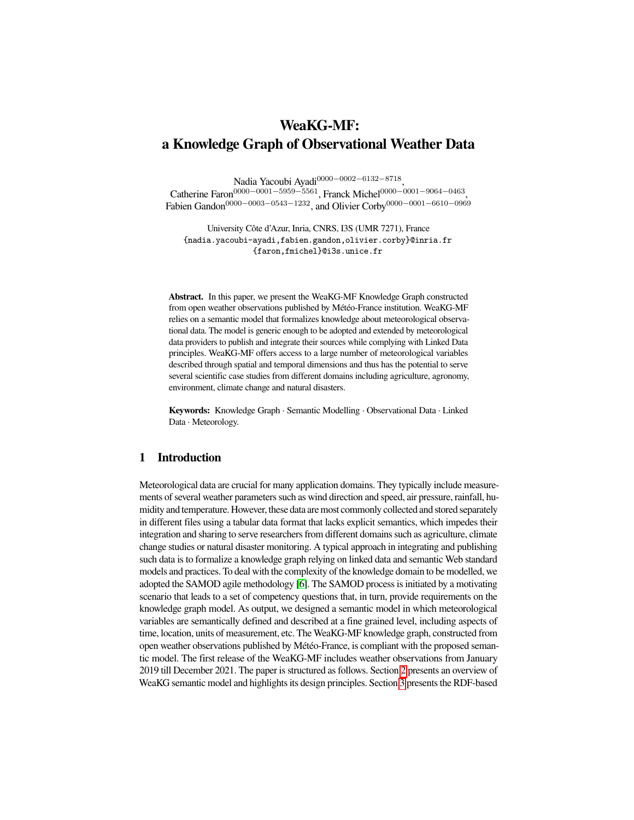

<span id="page-2-0"></span>**Fig. 1.** Example of a meteorological observation reporting the Wind Speed Average property

Our semantic model deals with both temporal and spatial dimensions of meteorological observations. Along temporal dimension, the model captures the instant or interval at/during which the weather parameter is measured. Since duration of time intervals are described in the official documentation of the World Meteorological Organization (WMO[\)](#page-2-1) , we defined different time interval classes, based on the time: Interval class [\[2\]](#page-4-3), by expressing OWL restrictions on their duration that may be declared in seconds, minutes or hours. The interest of doing this is that these time intervals are declared once in our semantic model and are reused for all obser-vations, and thus avoid substantial redundancy. In Figure [1,](#page-2-0) the wevp: windAverageSpeed weather property is measured during a period of 10 minutes. This is denoted by sosa: phenomenonTime property whose value is an instance of weo: Interval 10m class, while the end time of the interval is an instance of class time: Instant.

Meteorological observations are provided by weather stations which spatial information, such as longitude, latitude and altitude. We introduce the weo: WeatherStation class as a subclass of the geosparql:Feature class and sosa:Platform. According to GeoSPARQL vocabulary [\[1\]](#page-4-4), each instance of weo:WeatherStation has a geometry with specific coordinates which enables us to query weather observations based on spatial information. The OWL version of our semantic model as well as the related SKOS vocabularies are available in our Github repository [.](#page-2-2) The prefixes of ontologies and vocabularies reused or introduced in this paper are listed in the repository's README [.](#page-2-3)

<span id="page-2-2"></span><span id="page-2-1"></span><https://public.wmo.int/en/>

<https://github.com/Wimmics/d2kab/tree/main/meteo/ontology>

<span id="page-2-3"></span><https://github.com/Wimmics/d2kab/tree/main/meteo>